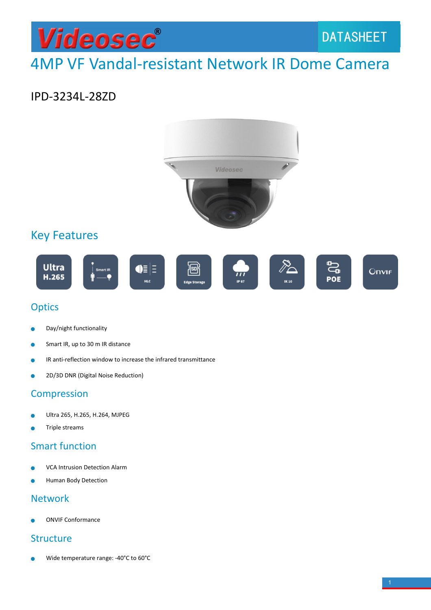# Videosec®

# 4MP VF Vandal-resistant Network IR Dome Camera

### IPD-3234L-28ZD



### **Optics**

- Day/night functionality è
- Smart IR, up to 30 m IR distance  $\bullet$
- IR anti-reflection window to increase the infrared transmittance
- 2D/3D DNR (Digital Noise Reduction) ò

#### **Compression**

- Ultra 265, H.265, H.264, MJPEG Ċ
- Triple streams

#### Smart function

- VCA Intrusion Detection Alarm
- Human Body Detection

#### Network

ONVIF Conformance

#### **Structure**

Wide temperature range: -40°C to 60°C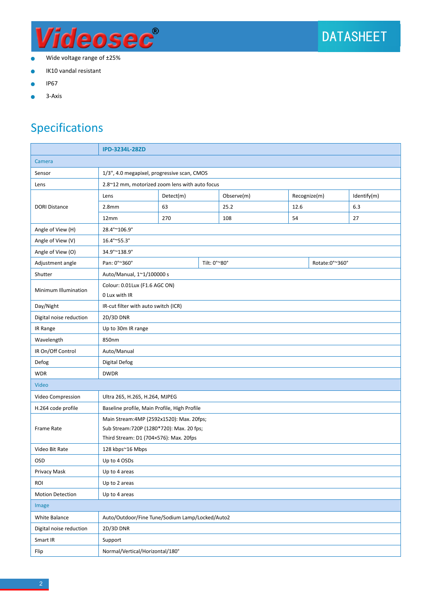

- Wide voltage range of ±25%  $\bullet$
- IK10 vandal resistant ö
- IP67
- 3-Axis Ò

## Specifications

|                                          | <b>IPD-3234L-28ZD</b>                           |                                             |  |            |                |  |             |
|------------------------------------------|-------------------------------------------------|---------------------------------------------|--|------------|----------------|--|-------------|
| Camera                                   |                                                 |                                             |  |            |                |  |             |
| Sensor                                   |                                                 | 1/3", 4.0 megapixel, progressive scan, CMOS |  |            |                |  |             |
| Lens                                     | 2.8~12 mm, motorized zoom lens with auto focus  |                                             |  |            |                |  |             |
| <b>DORI Distance</b>                     | Lens                                            | Detect(m)                                   |  | Observe(m) | Recognize(m)   |  | Identify(m) |
|                                          | 2.8 <sub>mm</sub>                               | 63                                          |  | 25.2       | 12.6           |  | 6.3         |
|                                          | 12mm                                            | 270                                         |  | 108        | 54             |  | 27          |
| Angle of View (H)                        | 28.4°~106.9°                                    |                                             |  |            |                |  |             |
| Angle of View (V)                        | 16.4°~55.3°                                     |                                             |  |            |                |  |             |
| Angle of View (O)                        | 34.9°~138.9°                                    |                                             |  |            |                |  |             |
| Adjustment angle                         | Pan: 0°~360°                                    | Tilt: 0°~80°                                |  |            | Rotate:0°~360° |  |             |
| Shutter                                  | Auto/Manual, 1~1/100000 s                       |                                             |  |            |                |  |             |
| Minimum Illumination                     | Colour: 0.01Lux (F1.6 AGC ON)<br>0 Lux with IR  |                                             |  |            |                |  |             |
| Day/Night                                | IR-cut filter with auto switch (ICR)            |                                             |  |            |                |  |             |
| Digital noise reduction                  | 2D/3D DNR                                       |                                             |  |            |                |  |             |
| IR Range                                 | Up to 30m IR range                              |                                             |  |            |                |  |             |
| Wavelength                               | 850nm                                           |                                             |  |            |                |  |             |
| IR On/Off Control                        | Auto/Manual                                     |                                             |  |            |                |  |             |
| Defog                                    | Digital Defog                                   |                                             |  |            |                |  |             |
| <b>WDR</b>                               | <b>DWDR</b>                                     |                                             |  |            |                |  |             |
| Video                                    |                                                 |                                             |  |            |                |  |             |
| Video Compression                        | Ultra 265, H.265, H.264, MJPEG                  |                                             |  |            |                |  |             |
| H.264 code profile                       | Baseline profile, Main Profile, High Profile    |                                             |  |            |                |  |             |
|                                          | Main Stream: 4MP (2592x1520): Max. 20fps;       |                                             |  |            |                |  |             |
| Frame Rate                               | Sub Stream: 720P (1280*720): Max. 20 fps;       |                                             |  |            |                |  |             |
|                                          | Third Stream: D1 (704×576): Max. 20fps          |                                             |  |            |                |  |             |
| Video Bit Rate                           | 128 kbps~16 Mbps                                |                                             |  |            |                |  |             |
| <b>OSD</b>                               | Up to 4 OSDs                                    |                                             |  |            |                |  |             |
| Privacy Mask                             | Up to 4 areas                                   |                                             |  |            |                |  |             |
| <b>ROI</b>                               | Up to 2 areas                                   |                                             |  |            |                |  |             |
| <b>Motion Detection</b><br>Up to 4 areas |                                                 |                                             |  |            |                |  |             |
| Image                                    |                                                 |                                             |  |            |                |  |             |
| White Balance                            | Auto/Outdoor/Fine Tune/Sodium Lamp/Locked/Auto2 |                                             |  |            |                |  |             |
| Digital noise reduction                  | 2D/3D DNR                                       |                                             |  |            |                |  |             |
| Smart IR                                 | Support                                         |                                             |  |            |                |  |             |
| Flip                                     | Normal/Vertical/Horizontal/180°                 |                                             |  |            |                |  |             |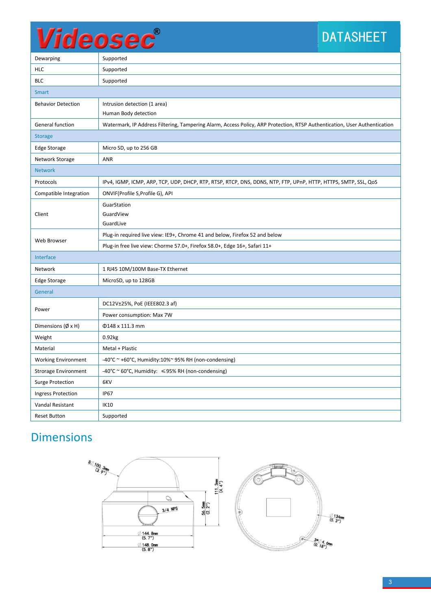# Videosec®

## DATASHEET

| Dewarping                    | Supported                                                                                                                 |  |  |  |
|------------------------------|---------------------------------------------------------------------------------------------------------------------------|--|--|--|
| <b>HLC</b>                   | Supported                                                                                                                 |  |  |  |
| <b>BLC</b>                   | Supported                                                                                                                 |  |  |  |
| <b>Smart</b>                 |                                                                                                                           |  |  |  |
| <b>Behavior Detection</b>    | Intrusion detection (1 area)                                                                                              |  |  |  |
|                              | Human Body detection                                                                                                      |  |  |  |
| General function             | Watermark, IP Address Filtering, Tampering Alarm, Access Policy, ARP Protection, RTSP Authentication, User Authentication |  |  |  |
| <b>Storage</b>               |                                                                                                                           |  |  |  |
| Edge Storage                 | Micro SD, up to 256 GB                                                                                                    |  |  |  |
| Network Storage              | <b>ANR</b>                                                                                                                |  |  |  |
| <b>Network</b>               |                                                                                                                           |  |  |  |
| Protocols                    | IPv4, IGMP, ICMP, ARP, TCP, UDP, DHCP, RTP, RTSP, RTCP, DNS, DDNS, NTP, FTP, UPnP, HTTP, HTTPS, SMTP, SSL, QoS            |  |  |  |
| Compatible Integration       | ONVIF(Profile S, Profile G), API                                                                                          |  |  |  |
|                              | GuarStation                                                                                                               |  |  |  |
| Client                       | GuardView                                                                                                                 |  |  |  |
| GuardLive                    |                                                                                                                           |  |  |  |
| Web Browser                  | Plug-in required live view: IE9+, Chrome 41 and below, Firefox 52 and below                                               |  |  |  |
|                              | Plug-in free live view: Chorme 57.0+, Firefox 58.0+, Edge 16+, Safari 11+                                                 |  |  |  |
| Interface                    |                                                                                                                           |  |  |  |
| Network                      | 1 RJ45 10M/100M Base-TX Ethernet                                                                                          |  |  |  |
| Edge Storage                 | MicroSD, up to 128GB                                                                                                      |  |  |  |
| General                      |                                                                                                                           |  |  |  |
|                              | DC12V±25%, PoE (IEEE802.3 af)                                                                                             |  |  |  |
| Power                        | Power consumption: Max 7W                                                                                                 |  |  |  |
| Dimensions $(\emptyset x H)$ | Φ148 x 111.3 mm                                                                                                           |  |  |  |
| Weight                       | 0.92kg                                                                                                                    |  |  |  |
| Material                     | Metal + Plastic                                                                                                           |  |  |  |
| <b>Working Environment</b>   | $-40^{\circ}$ C ~ +60°C, Humidity:10%~ 95% RH (non-condensing)                                                            |  |  |  |
| <b>Strorage Environment</b>  | $-40^{\circ}$ C ~ 60°C, Humidity: $\leq$ 95% RH (non-condensing)                                                          |  |  |  |
| <b>Surge Protection</b>      | 6KV                                                                                                                       |  |  |  |
| <b>Ingress Protection</b>    | <b>IP67</b>                                                                                                               |  |  |  |
| Vandal Resistant             | <b>IK10</b>                                                                                                               |  |  |  |
| <b>Reset Button</b>          | Supported                                                                                                                 |  |  |  |

## Dimensions